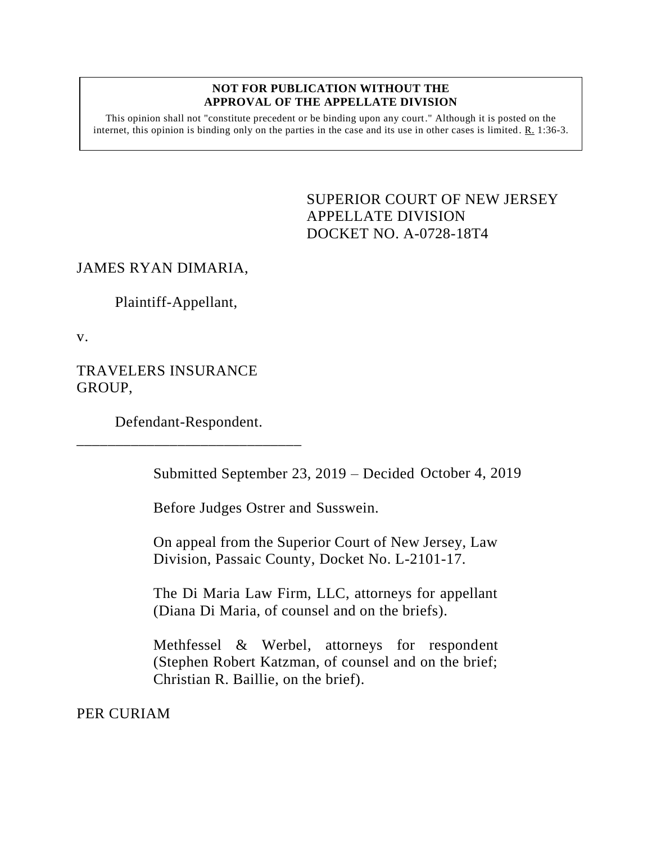### **NOT FOR PUBLICATION WITHOUT THE APPROVAL OF THE APPELLATE DIVISION**

This opinion shall not "constitute precedent or be binding upon any court." Although it is posted on the internet, this opinion is binding only on the parties in the case and its use in other cases is limited.  $R_1$  1:36-3.

> <span id="page-0-0"></span>SUPERIOR COURT OF NEW JERSEY APPELLATE DIVISION DOCKET NO. A-0728-18T4

# JAMES RYAN DIMARIA,

Plaintiff-Appellant,

v.

TRAVELERS INSURANCE GROUP,

Defendant-Respondent. \_\_\_\_\_\_\_\_\_\_\_\_\_\_\_\_\_\_\_\_\_\_\_\_\_\_\_\_\_

Submitted September 23, 2019 – Decided October 4, 2019

Before Judges Ostrer and Susswein.

On appeal from the Superior Court of New Jersey, Law Division, Passaic County, Docket No. L-2101-17.

The Di Maria Law Firm, LLC, attorneys for appellant (Diana Di Maria, of counsel and on the briefs).

Methfessel & Werbel, attorneys for respondent (Stephen Robert Katzman, of counsel and on the brief; Christian R. Baillie, on the brief).

PER CURIAM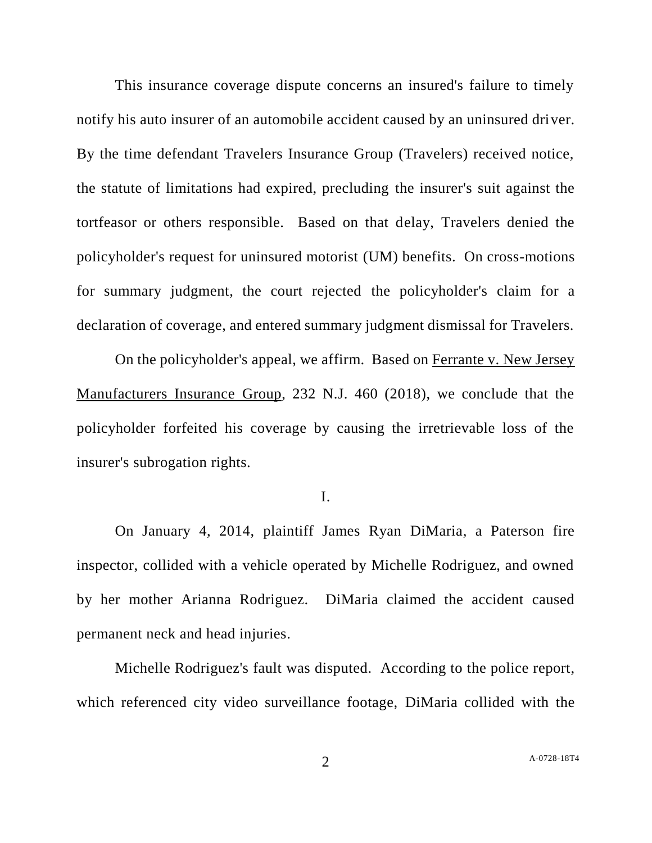This insurance coverage dispute concerns an insured's failure to timely notify his auto insurer of an automobile accident caused by an uninsured driver. By the time defendant Travelers Insurance Group (Travelers) received notice, the statute of limitations had expired, precluding the insurer's suit against the tortfeasor or others responsible. Based on that delay, Travelers denied the policyholder's request for uninsured motorist (UM) benefits. On cross-motions for summary judgment, the court rejected the policyholder's claim for a declaration of coverage, and entered summary judgment dismissal for Travelers.

On the policyholder's appeal, we affirm. Based on Ferrante v. New Jersey Manufacturers Insurance Group, 232 N.J. 460 (2018), we conclude that the policyholder forfeited his coverage by causing the irretrievable loss of the insurer's subrogation rights.

## I.

On January 4, 2014, plaintiff James Ryan DiMaria, a Paterson fire inspector, collided with a vehicle operated by Michelle Rodriguez, and owned by her mother Arianna Rodriguez. DiMaria claimed the accident caused permanent neck and head injuries.

Michelle Rodriguez's fault was disputed. According to the police report, which referenced city video surveillance footage, DiMaria collided with the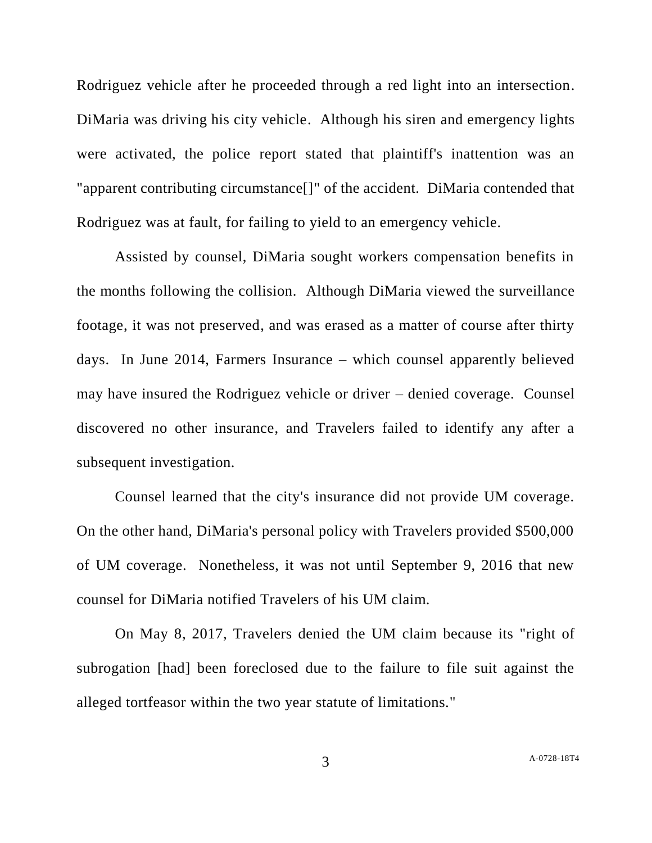Rodriguez vehicle after he proceeded through a red light into an intersection. DiMaria was driving his city vehicle. Although his siren and emergency lights were activated, the police report stated that plaintiff's inattention was an "apparent contributing circumstance[]" of the accident. DiMaria contended that Rodriguez was at fault, for failing to yield to an emergency vehicle.

Assisted by counsel, DiMaria sought workers compensation benefits in the months following the collision. Although DiMaria viewed the surveillance footage, it was not preserved, and was erased as a matter of course after thirty days. In June 2014, Farmers Insurance – which counsel apparently believed may have insured the Rodriguez vehicle or driver – denied coverage. Counsel discovered no other insurance, and Travelers failed to identify any after a subsequent investigation.

Counsel learned that the city's insurance did not provide UM coverage. On the other hand, DiMaria's personal policy with Travelers provided \$500,000 of UM coverage. Nonetheless, it was not until September 9, 2016 that new counsel for DiMaria notified Travelers of his UM claim.

On May 8, 2017, Travelers denied the UM claim because its "right of subrogation [had] been foreclosed due to the failure to file suit against the alleged tortfeasor within the two year statute of limitations."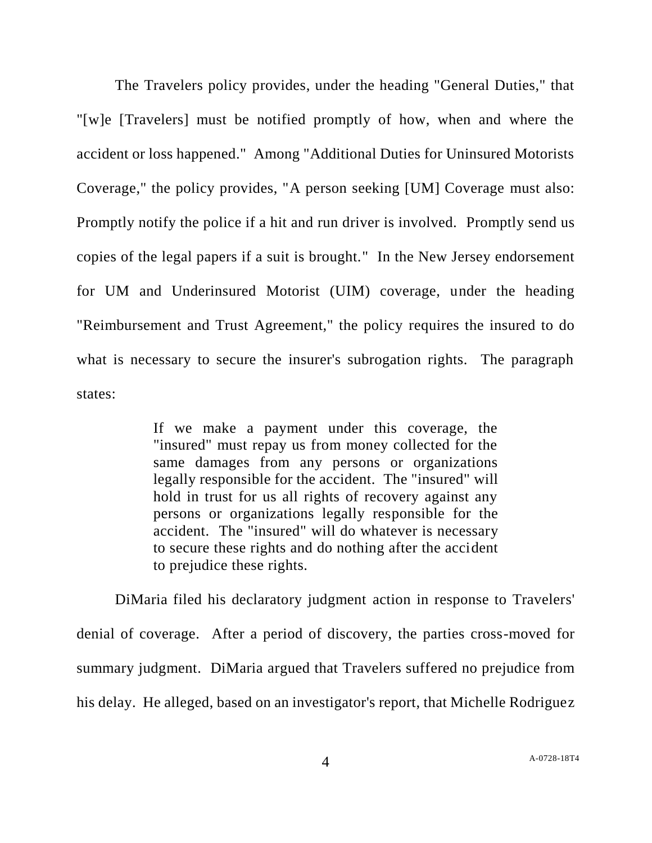The Travelers policy provides, under the heading "General Duties," that "[w]e [Travelers] must be notified promptly of how, when and where the accident or loss happened." Among "Additional Duties for Uninsured Motorists Coverage," the policy provides, "A person seeking [UM] Coverage must also: Promptly notify the police if a hit and run driver is involved. Promptly send us copies of the legal papers if a suit is brought." In the New Jersey endorsement for UM and Underinsured Motorist (UIM) coverage, under the heading "Reimbursement and Trust Agreement," the policy requires the insured to do what is necessary to secure the insurer's subrogation rights. The paragraph states:

> If we make a payment under this coverage, the "insured" must repay us from money collected for the same damages from any persons or organizations legally responsible for the accident. The "insured" will hold in trust for us all rights of recovery against any persons or organizations legally responsible for the accident. The "insured" will do whatever is necessary to secure these rights and do nothing after the accident to prejudice these rights.

DiMaria filed his declaratory judgment action in response to Travelers' denial of coverage. After a period of discovery, the parties cross-moved for summary judgment. DiMaria argued that Travelers suffered no prejudice from his delay. He alleged, based on an investigator's report, that Michelle Rodriguez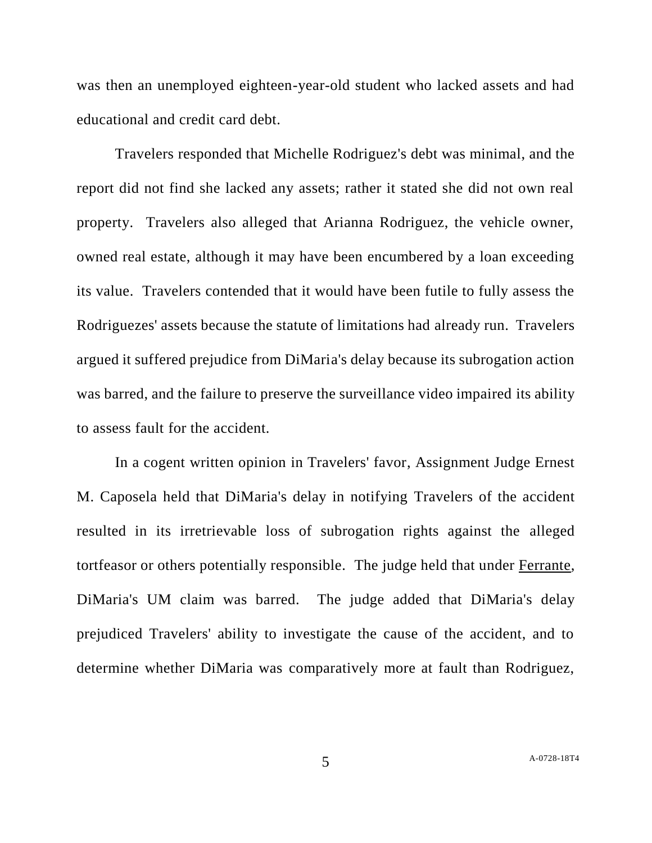was then an unemployed eighteen-year-old student who lacked assets and had educational and credit card debt.

Travelers responded that Michelle Rodriguez's debt was minimal, and the report did not find she lacked any assets; rather it stated she did not own real property. Travelers also alleged that Arianna Rodriguez, the vehicle owner, owned real estate, although it may have been encumbered by a loan exceeding its value. Travelers contended that it would have been futile to fully assess the Rodriguezes' assets because the statute of limitations had already run. Travelers argued it suffered prejudice from DiMaria's delay because its subrogation action was barred, and the failure to preserve the surveillance video impaired its ability to assess fault for the accident.

In a cogent written opinion in Travelers' favor, Assignment Judge Ernest M. Caposela held that DiMaria's delay in notifying Travelers of the accident resulted in its irretrievable loss of subrogation rights against the alleged tortfeasor or others potentially responsible. The judge held that under Ferrante, DiMaria's UM claim was barred. The judge added that DiMaria's delay prejudiced Travelers' ability to investigate the cause of the accident, and to determine whether DiMaria was comparatively more at fault than Rodriguez,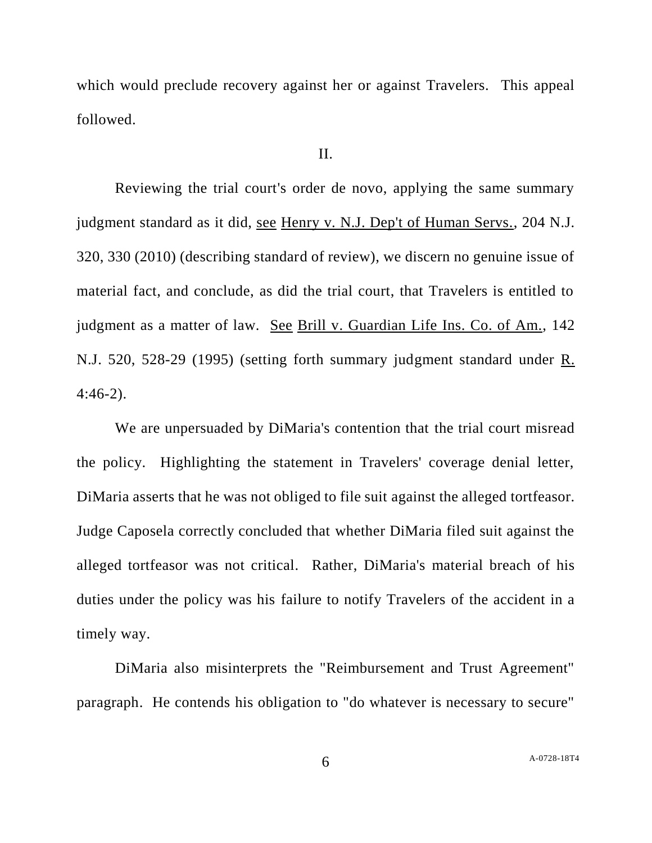which would preclude recovery against her or against Travelers. This appeal followed.

### II.

Reviewing the trial court's order de novo, applying the same summary judgment standard as it did, see Henry v. N.J. Dep't of Human Servs., 204 N.J. 320, 330 (2010) (describing standard of review), we discern no genuine issue of material fact, and conclude, as did the trial court, that Travelers is entitled to judgment as a matter of law. See Brill v. Guardian Life Ins. Co. of Am., 142 N.J. 520, 528-29 (1995) (setting forth summary judgment standard under R. 4:46-2).

We are unpersuaded by DiMaria's contention that the trial court misread the policy. Highlighting the statement in Travelers' coverage denial letter, DiMaria asserts that he was not obliged to file suit against the alleged tortfeasor. Judge Caposela correctly concluded that whether DiMaria filed suit against the alleged tortfeasor was not critical. Rather, DiMaria's material breach of his duties under the policy was his failure to notify Travelers of the accident in a timely way.

DiMaria also misinterprets the "Reimbursement and Trust Agreement" paragraph. He contends his obligation to "do whatever is necessary to secure"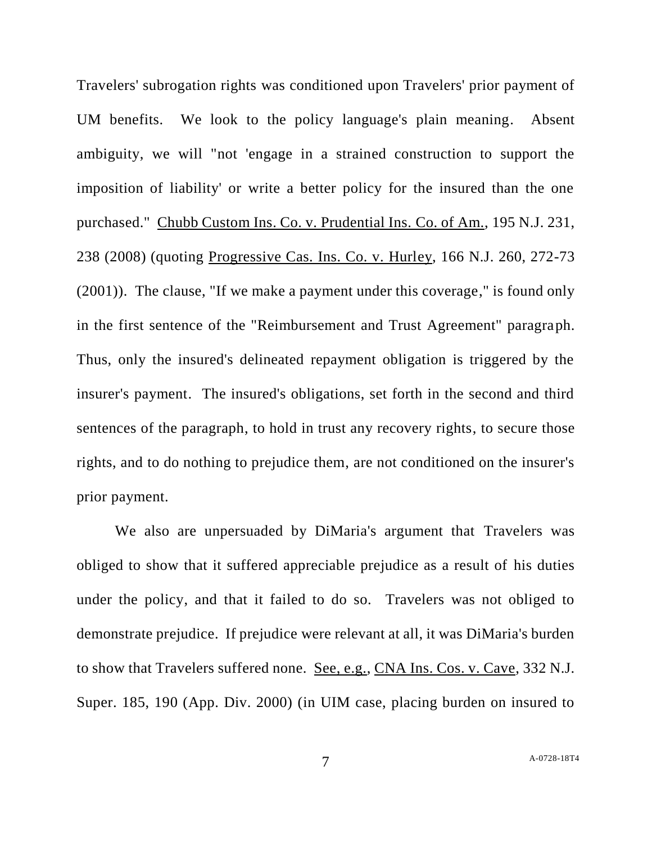Travelers' subrogation rights was conditioned upon Travelers' prior payment of UM benefits. We look to the policy language's plain meaning. Absent ambiguity, we will "not 'engage in a strained construction to support the imposition of liability' or write a better policy for the insured than the one purchased." Chubb Custom Ins. Co. v. Prudential Ins. Co. of Am., 195 N.J. 231, 238 (2008) (quoting Progressive Cas. Ins. Co. v. Hurley, 166 N.J. 260, 272-73 (2001)). The clause, "If we make a payment under this coverage," is found only in the first sentence of the "Reimbursement and Trust Agreement" paragraph. Thus, only the insured's delineated repayment obligation is triggered by the insurer's payment. The insured's obligations, set forth in the second and third sentences of the paragraph, to hold in trust any recovery rights, to secure those rights, and to do nothing to prejudice them, are not conditioned on the insurer's prior payment.

We also are unpersuaded by DiMaria's argument that Travelers was obliged to show that it suffered appreciable prejudice as a result of his duties under the policy, and that it failed to do so. Travelers was not obliged to demonstrate prejudice. If prejudice were relevant at all, it was DiMaria's burden to show that Travelers suffered none. See, e.g., CNA Ins. Cos. v. Cave, 332 N.J. Super. 185, 190 (App. Div. 2000) (in UIM case, placing burden on insured to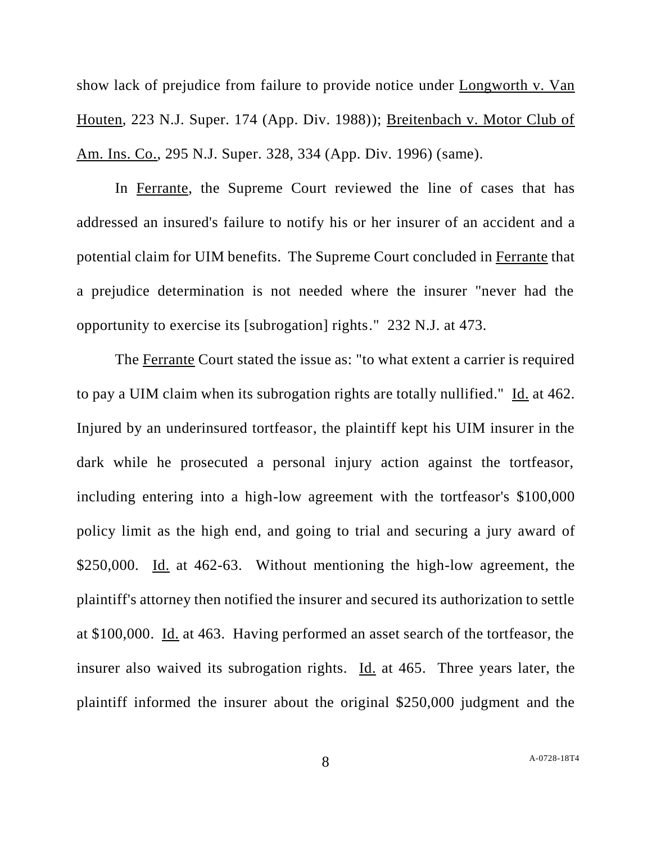show lack of prejudice from failure to provide notice under Longworth v. Van Houten, 223 N.J. Super. 174 (App. Div. 1988)); Breitenbach v. Motor Club of Am. Ins. Co., 295 N.J. Super. 328, 334 (App. Div. 1996) (same).

In Ferrante, the Supreme Court reviewed the line of cases that has addressed an insured's failure to notify his or her insurer of an accident and a potential claim for UIM benefits. The Supreme Court concluded in Ferrante that a prejudice determination is not needed where the insurer "never had the opportunity to exercise its [subrogation] rights." 232 N.J. at 473.

The Ferrante Court stated the issue as: "to what extent a carrier is required to pay a UIM claim when its subrogation rights are totally nullified." Id. at 462. Injured by an underinsured tortfeasor, the plaintiff kept his UIM insurer in the dark while he prosecuted a personal injury action against the tortfeasor, including entering into a high-low agreement with the tortfeasor's \$100,000 policy limit as the high end, and going to trial and securing a jury award of \$250,000. Id. at 462-63. Without mentioning the high-low agreement, the plaintiff's attorney then notified the insurer and secured its authorization to settle at \$100,000. Id. at 463. Having performed an asset search of the tortfeasor, the insurer also waived its subrogation rights. Id. at 465. Three years later, the plaintiff informed the insurer about the original \$250,000 judgment and the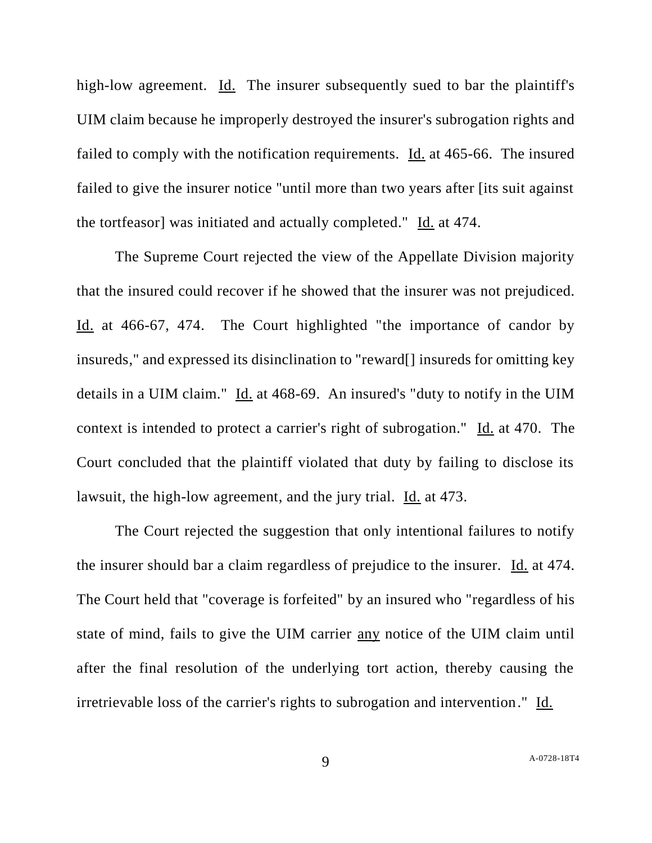high-low agreement. Id. The insurer subsequently sued to bar the plaintiff's UIM claim because he improperly destroyed the insurer's subrogation rights and failed to comply with the notification requirements. Id. at 465-66. The insured failed to give the insurer notice "until more than two years after [its suit against the tortfeasor] was initiated and actually completed." Id. at 474.

The Supreme Court rejected the view of the Appellate Division majority that the insured could recover if he showed that the insurer was not prejudiced. Id. at 466-67, 474. The Court highlighted "the importance of candor by insureds," and expressed its disinclination to "reward[] insureds for omitting key details in a UIM claim." Id. at 468-69. An insured's "duty to notify in the UIM context is intended to protect a carrier's right of subrogation." Id. at 470. The Court concluded that the plaintiff violated that duty by failing to disclose its lawsuit, the high-low agreement, and the jury trial. Id. at 473.

The Court rejected the suggestion that only intentional failures to notify the insurer should bar a claim regardless of prejudice to the insurer. Id. at 474. The Court held that "coverage is forfeited" by an insured who "regardless of his state of mind, fails to give the UIM carrier any notice of the UIM claim until after the final resolution of the underlying tort action, thereby causing the irretrievable loss of the carrier's rights to subrogation and intervention." Id.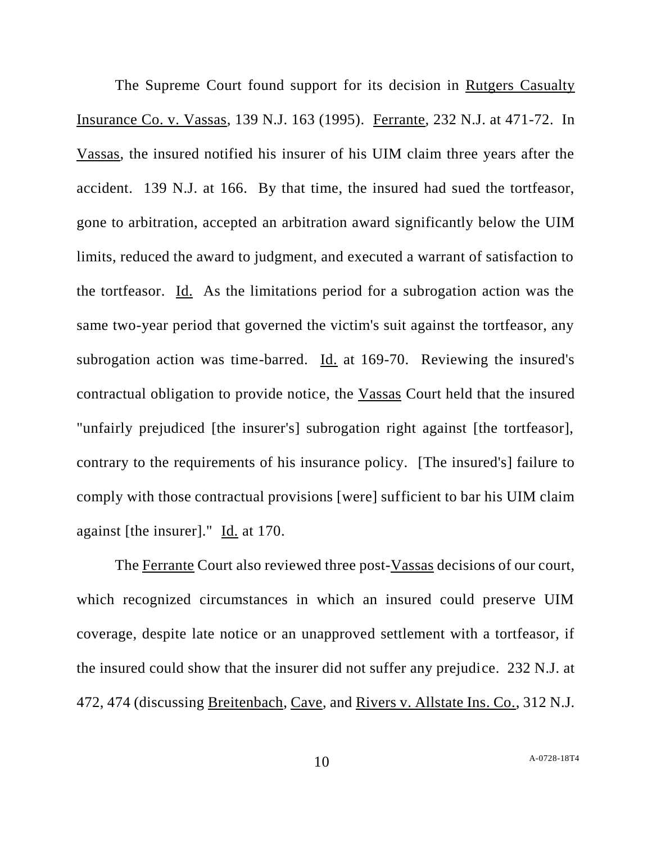The Supreme Court found support for its decision in Rutgers Casualty Insurance Co. v. Vassas, 139 N.J. 163 (1995). Ferrante, 232 N.J. at 471-72. In Vassas, the insured notified his insurer of his UIM claim three years after the accident. 139 N.J. at 166. By that time, the insured had sued the tortfeasor, gone to arbitration, accepted an arbitration award significantly below the UIM limits, reduced the award to judgment, and executed a warrant of satisfaction to the tortfeasor. Id. As the limitations period for a subrogation action was the same two-year period that governed the victim's suit against the tortfeasor, any subrogation action was time-barred. Id. at 169-70. Reviewing the insured's contractual obligation to provide notice, the Vassas Court held that the insured "unfairly prejudiced [the insurer's] subrogation right against [the tortfeasor], contrary to the requirements of his insurance policy. [The insured's] failure to comply with those contractual provisions [were] sufficient to bar his UIM claim against [the insurer]." Id. at 170.

The Ferrante Court also reviewed three post-Vassas decisions of our court, which recognized circumstances in which an insured could preserve UIM coverage, despite late notice or an unapproved settlement with a tortfeasor, if the insured could show that the insurer did not suffer any prejudice. 232 N.J. at 472, 474 (discussing Breitenbach, Cave, and Rivers v. Allstate Ins. Co., 312 N.J.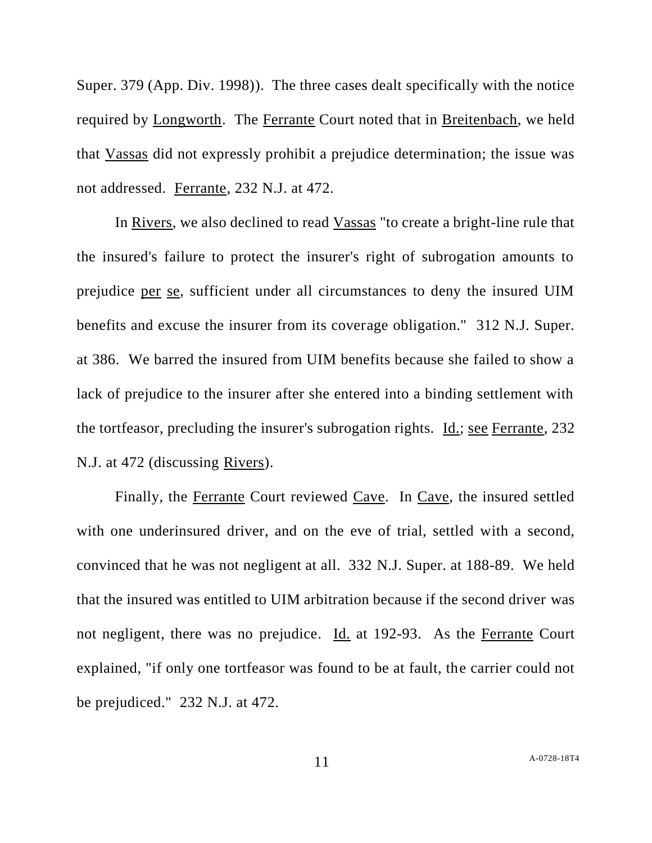Super. 379 (App. Div. 1998)). The three cases dealt specifically with the notice required by Longworth. The Ferrante Court noted that in Breitenbach, we held that Vassas did not expressly prohibit a prejudice determination; the issue was not addressed. Ferrante, 232 N.J. at 472.

In Rivers, we also declined to read Vassas "to create a bright-line rule that the insured's failure to protect the insurer's right of subrogation amounts to prejudice per se, sufficient under all circumstances to deny the insured UIM benefits and excuse the insurer from its coverage obligation." 312 N.J. Super. at 386. We barred the insured from UIM benefits because she failed to show a lack of prejudice to the insurer after she entered into a binding settlement with the tortfeasor, precluding the insurer's subrogation rights. Id.; see Ferrante, 232 N.J. at 472 (discussing Rivers).

Finally, the Ferrante Court reviewed Cave. In Cave, the insured settled with one underinsured driver, and on the eve of trial, settled with a second, convinced that he was not negligent at all. 332 N.J. Super. at 188-89. We held that the insured was entitled to UIM arbitration because if the second driver was not negligent, there was no prejudice. Id. at 192-93. As the Ferrante Court explained, "if only one tortfeasor was found to be at fault, the carrier could not be prejudiced." 232 N.J. at 472.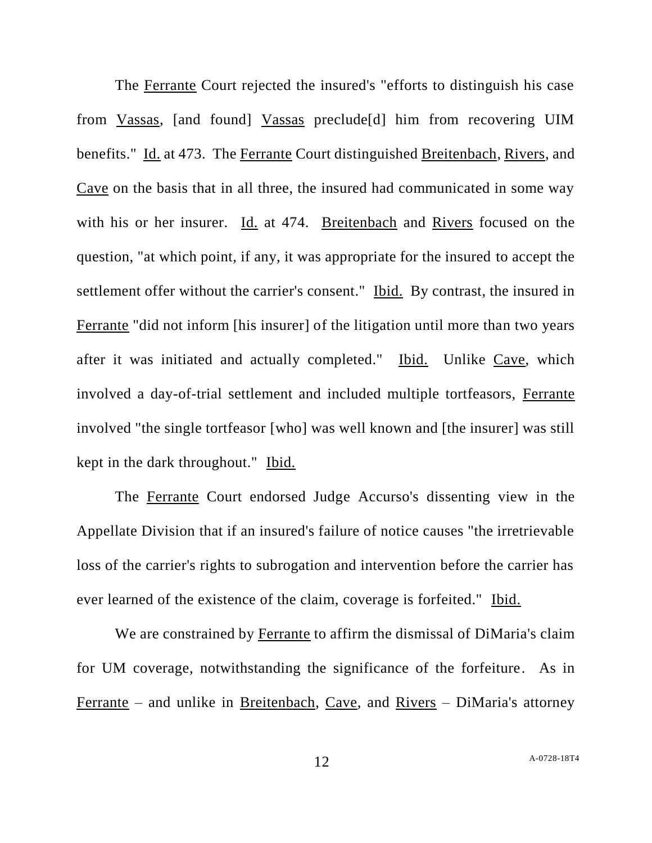The Ferrante Court rejected the insured's "efforts to distinguish his case from Vassas, [and found] Vassas preclude[d] him from recovering UIM benefits." Id. at 473. The Ferrante Court distinguished Breitenbach, Rivers, and Cave on the basis that in all three, the insured had communicated in some way with his or her insurer. Id. at 474. Breitenbach and Rivers focused on the question, "at which point, if any, it was appropriate for the insured to accept the settlement offer without the carrier's consent." Ibid. By contrast, the insured in Ferrante "did not inform [his insurer] of the litigation until more than two years after it was initiated and actually completed." Ibid. Unlike Cave, which involved a day-of-trial settlement and included multiple tortfeasors, Ferrante involved "the single tortfeasor [who] was well known and [the insurer] was still kept in the dark throughout." Ibid.

The Ferrante Court endorsed Judge Accurso's dissenting view in the Appellate Division that if an insured's failure of notice causes "the irretrievable loss of the carrier's rights to subrogation and intervention before the carrier has ever learned of the existence of the claim, coverage is forfeited." Ibid.

We are constrained by Ferrante to affirm the dismissal of DiMaria's claim for UM coverage, notwithstanding the significance of the forfeiture. As in Ferrante – and unlike in Breitenbach, Cave, and Rivers – DiMaria's attorney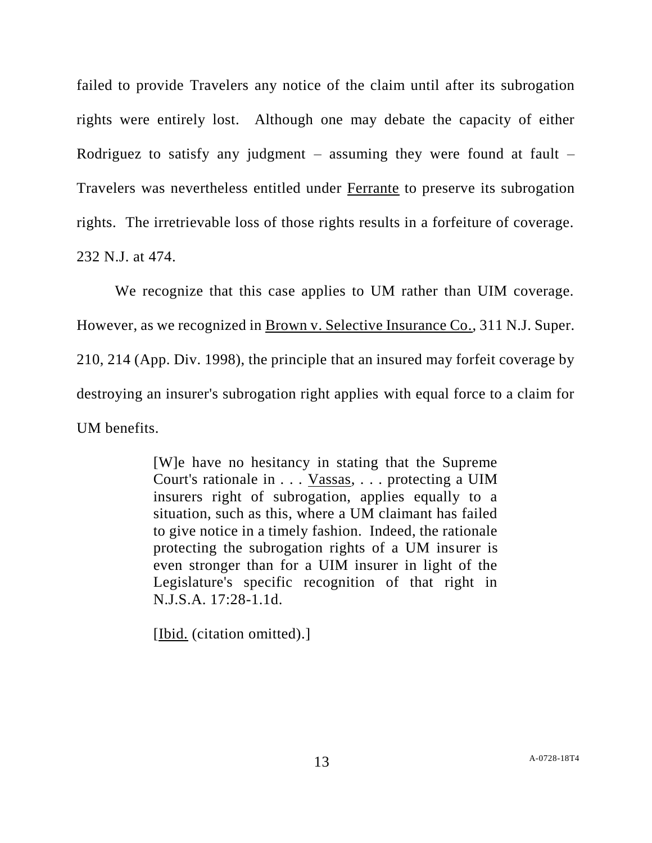failed to provide Travelers any notice of the claim until after its subrogation rights were entirely lost. Although one may debate the capacity of either Rodriguez to satisfy any judgment – assuming they were found at fault – Travelers was nevertheless entitled under Ferrante to preserve its subrogation rights. The irretrievable loss of those rights results in a forfeiture of coverage. 232 N.J. at 474.

We recognize that this case applies to UM rather than UIM coverage. However, as we recognized in Brown v. Selective Insurance Co., 311 N.J. Super. 210, 214 (App. Div. 1998), the principle that an insured may forfeit coverage by destroying an insurer's subrogation right applies with equal force to a claim for UM benefits.

> [W]e have no hesitancy in stating that the Supreme Court's rationale in . . . Vassas, . . . protecting a UIM insurers right of subrogation, applies equally to a situation, such as this, where a UM claimant has failed to give notice in a timely fashion. Indeed, the rationale protecting the subrogation rights of a UM insurer is even stronger than for a UIM insurer in light of the Legislature's specific recognition of that right in N.J.S.A. 17:28-1.1d.

[Ibid. (citation omitted).]